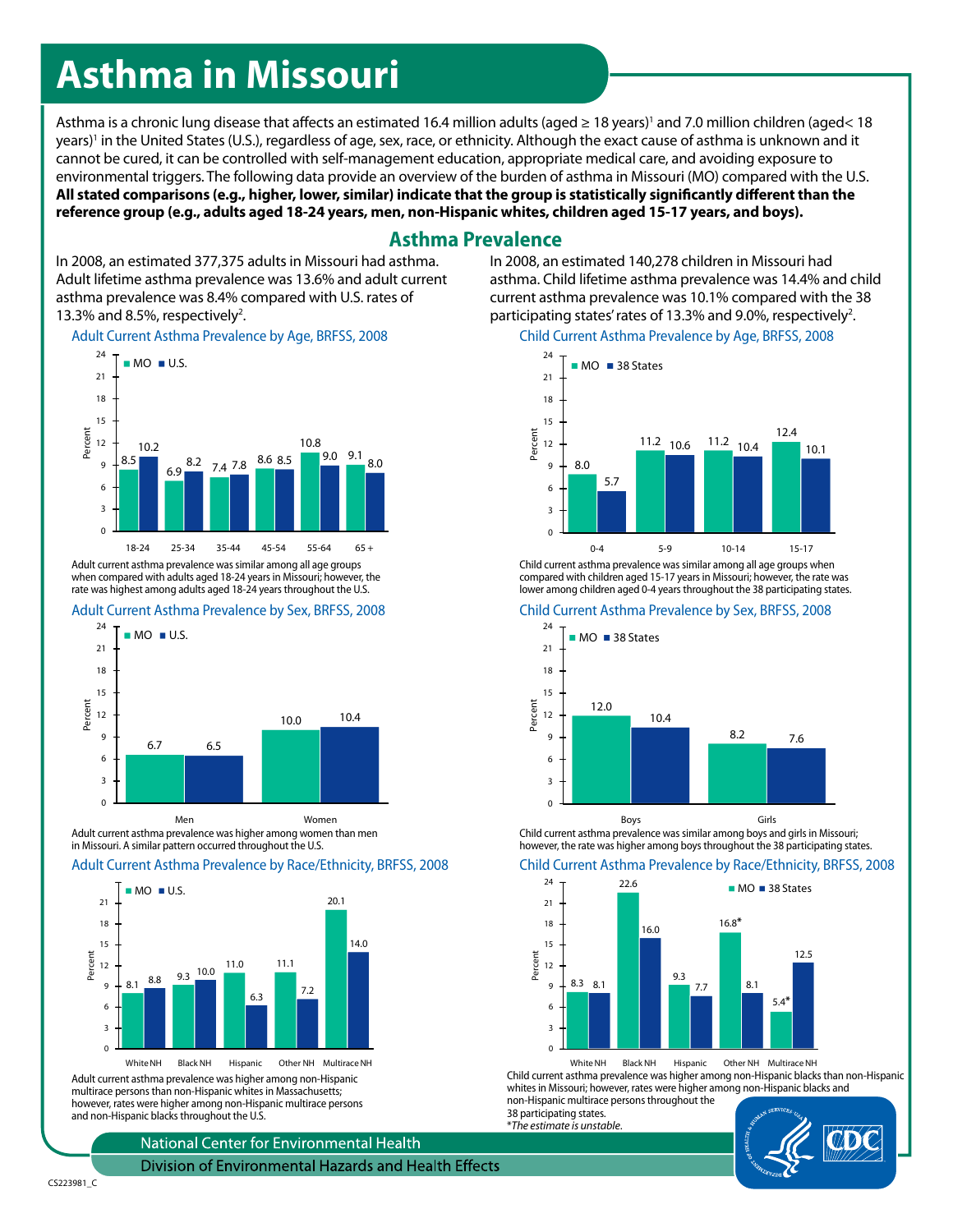# **Asthma in Missouri**

Asthma is a chronic lung disease that affects an estimated 16.4 million adults (aged ≥ 18 years)' and 7.0 million children (aged< 18 years)' in the United States (U.S.), regardless of age, sex, race, or ethnicity. Although the exact cause of asthma is unknown and it cannot be cured, it can be controlled with self-management education, appropriate medical care, and avoiding exposure to environmental triggers. The following data provide an overview of the burden of asthma in Missouri (MO) compared with the U.S. **All stated comparisons (e.g., higher, lower, similar) indicate that the group is statistically significantly different than the reference group (e.g., adults aged 18-24 years, men, non-Hispanic whites, children aged 15-17 years, and boys).**

# **Asthma Prevalence**

In 2008, an estimated 377,375 adults in Missouri had asthma. Adult lifetime asthma prevalence was 13.6% and adult current asthma prevalence was 8.4% compared with U.S. rates of 13.3% and 8.5%, respectively<sup>2</sup>.

### Adult Current Asthma Prevalence by Age, BRFSS, 2008



when compared with adults aged 18-24 years in Missouri; however, the rate was highest among adults aged 18-24 years throughout the U.S.

## Adult Current Asthma Prevalence by Sex, BRFSS, 2008



Adult current asthma prevalence was higher among women than men in Missouri. A similar pattern occurred throughout the U.S.

## Adult Current Asthma Prevalence by Race/Ethnicity, BRFSS, 2008



Adult current asthma prevalence was higher among non-Hispanic multirace persons than non-Hispanic whites in Massachusetts; however, rates were higher among non-Hispanic multirace persons and non-Hispanic blacks throughout the U.S.

National Center for Environmental Health

Division of Environmental Hazards and Health Effects

In 2008, an estimated 140,278 children in Missouri had asthma. Child lifetime asthma prevalence was 14.4% and child current asthma prevalence was 10.1% compared with the 38 participating states' rates of 13.3% and 9.0%, respectively<sup>2</sup>.

## Child Current Asthma Prevalence by Age, BRFSS, 2008



Child current asthma prevalence was similar among all age groups when compared with children aged 15-17 years in Missouri; however, the rate was lower among children aged 0-4 years throughout the 38 participating states.

#### Child Current Asthma Prevalence by Sex, BRFSS, 2008



Child current asthma prevalence was similar among boys and girls in Missouri; however, the rate was higher among boys throughout the 38 participating states.

#### Child Current Asthma Prevalence by Race/Ethnicity, BRFSS, 2008



White NH Black NH Hispanic Other NH Multirace NH Child current asthma prevalence was higher among non-Hispanic blacks than non-Hispanic whites in Missouri; however, rates were higher among non-Hispanic blacks and non-Hispanic multirace persons throughout the

38 participating states. \**The estimate is unstable*.